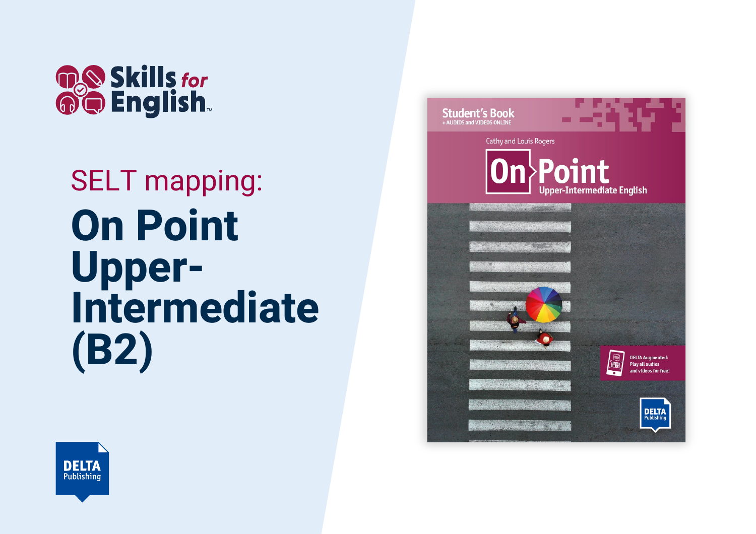

## SELT mapping: **On Point Upper-Intermediate (B2)**



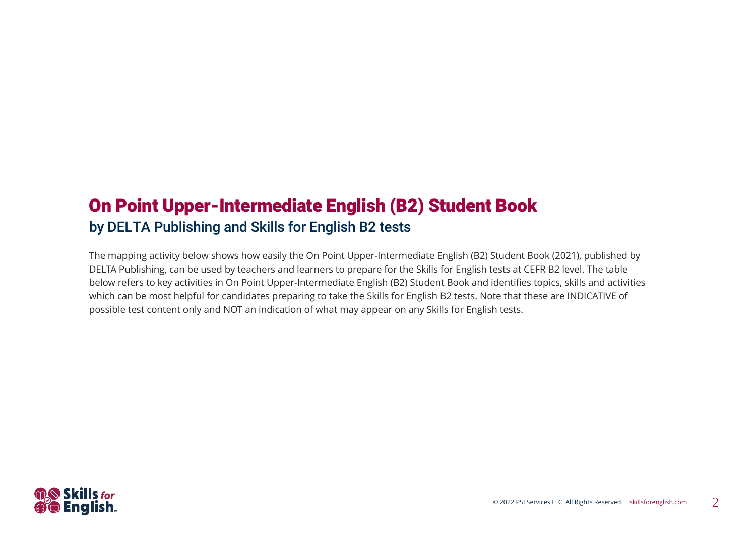## On Point Upper-Intermediate English (B2) Student Book by DELTA Publishing and Skills for English B2 tests

The mapping activity below shows how easily the On Point Upper-Intermediate English (B2) Student Book (2021), published by DELTA Publishing, can be used by teachers and learners to prepare for the Skills for English tests at CEFR B2 level. The table below refers to key activities in On Point Upper-Intermediate English (B2) Student Book and identifies topics, skills and activities which can be most helpful for candidates preparing to take the Skills for English B2 tests. Note that these are INDICATIVE of possible test content only and NOT an indication of what may appear on any Skills for English tests.

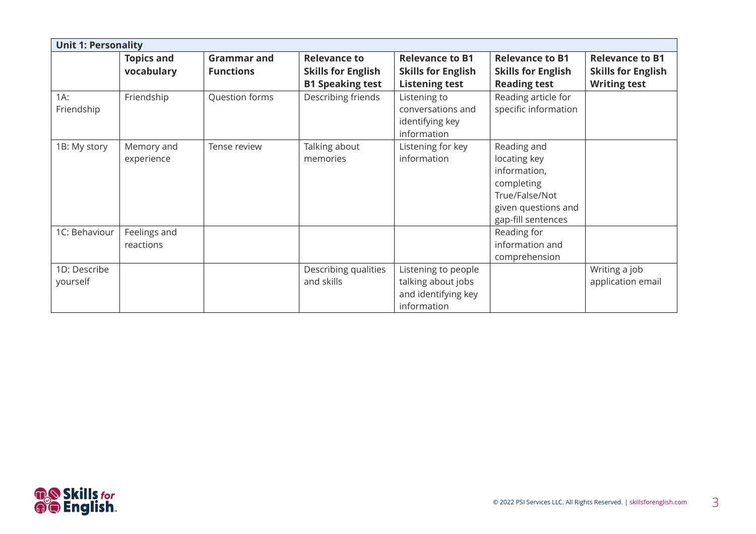|                          | <b>Unit 1: Personality</b>      |                                        |                                                                             |                                                                                 |                                                                                                                          |                                                                            |  |  |  |
|--------------------------|---------------------------------|----------------------------------------|-----------------------------------------------------------------------------|---------------------------------------------------------------------------------|--------------------------------------------------------------------------------------------------------------------------|----------------------------------------------------------------------------|--|--|--|
|                          | <b>Topics and</b><br>vocabulary | <b>Grammar and</b><br><b>Functions</b> | <b>Relevance to</b><br><b>Skills for English</b><br><b>B1 Speaking test</b> | <b>Relevance to B1</b><br><b>Skills for English</b><br><b>Listening test</b>    | <b>Relevance to B1</b><br><b>Skills for English</b><br><b>Reading test</b>                                               | <b>Relevance to B1</b><br><b>Skills for English</b><br><b>Writing test</b> |  |  |  |
| $1A$ :<br>Friendship     | Friendship                      | Question forms                         | Describing friends                                                          | Listening to<br>conversations and<br>identifying key<br>information             | Reading article for<br>specific information                                                                              |                                                                            |  |  |  |
| 1B: My story             | Memory and<br>experience        | Tense review                           | Talking about<br>memories                                                   | Listening for key<br>information                                                | Reading and<br>locating key<br>information,<br>completing<br>True/False/Not<br>given questions and<br>gap-fill sentences |                                                                            |  |  |  |
| 1C: Behaviour            | Feelings and<br>reactions       |                                        |                                                                             |                                                                                 | Reading for<br>information and<br>comprehension                                                                          |                                                                            |  |  |  |
| 1D: Describe<br>yourself |                                 |                                        | Describing qualities<br>and skills                                          | Listening to people<br>talking about jobs<br>and identifying key<br>information |                                                                                                                          | Writing a job<br>application email                                         |  |  |  |

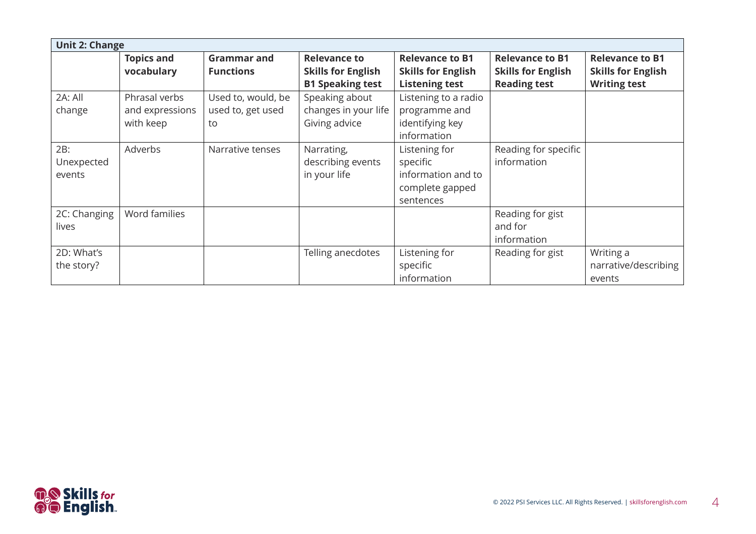| <b>Unit 2: Change</b>       |                                               |                                               |                                                                                    |                                                                                                  |                                                     |                                                     |  |  |
|-----------------------------|-----------------------------------------------|-----------------------------------------------|------------------------------------------------------------------------------------|--------------------------------------------------------------------------------------------------|-----------------------------------------------------|-----------------------------------------------------|--|--|
|                             | <b>Topics and</b><br>vocabulary               | <b>Grammar and</b><br><b>Functions</b>        | <b>Relevance to</b><br><b>Skills for English</b>                                   | <b>Relevance to B1</b><br><b>Skills for English</b>                                              | <b>Relevance to B1</b><br><b>Skills for English</b> | <b>Relevance to B1</b><br><b>Skills for English</b> |  |  |
| 2A: All<br>change           | Phrasal verbs<br>and expressions<br>with keep | Used to, would, be<br>used to, get used<br>to | <b>B1 Speaking test</b><br>Speaking about<br>changes in your life<br>Giving advice | <b>Listening test</b><br>Listening to a radio<br>programme and<br>identifying key<br>information | <b>Reading test</b>                                 | <b>Writing test</b>                                 |  |  |
| 2B:<br>Unexpected<br>events | Adverbs                                       | Narrative tenses                              | Narrating,<br>describing events<br>in your life                                    | Listening for<br>specific<br>information and to<br>complete gapped<br>sentences                  | Reading for specific<br>information                 |                                                     |  |  |
| 2C: Changing<br>lives       | Word families                                 |                                               |                                                                                    |                                                                                                  | Reading for gist<br>and for<br>information          |                                                     |  |  |
| 2D: What's<br>the story?    |                                               |                                               | Telling anecdotes                                                                  | Listening for<br>specific<br>information                                                         | Reading for gist                                    | Writing a<br>narrative/describing<br>events         |  |  |

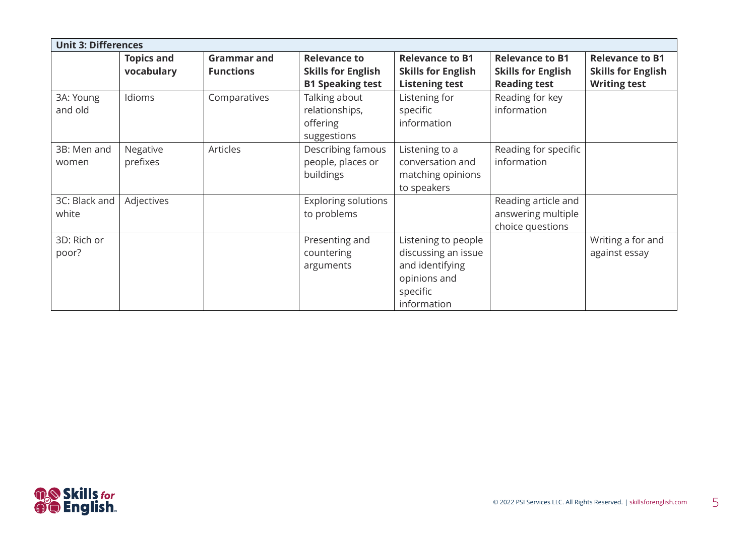| <b>Unit 3: Differences</b> |                                 |                                        |                                                                             |                                                                                                          |                                                                            |                                                                            |  |
|----------------------------|---------------------------------|----------------------------------------|-----------------------------------------------------------------------------|----------------------------------------------------------------------------------------------------------|----------------------------------------------------------------------------|----------------------------------------------------------------------------|--|
|                            | <b>Topics and</b><br>vocabulary | <b>Grammar and</b><br><b>Functions</b> | <b>Relevance to</b><br><b>Skills for English</b><br><b>B1 Speaking test</b> | <b>Relevance to B1</b><br><b>Skills for English</b><br><b>Listening test</b>                             | <b>Relevance to B1</b><br><b>Skills for English</b><br><b>Reading test</b> | <b>Relevance to B1</b><br><b>Skills for English</b><br><b>Writing test</b> |  |
| 3A: Young<br>and old       | Idioms                          | Comparatives                           | Talking about<br>relationships,<br>offering<br>suggestions                  | Listening for<br>specific<br>information                                                                 | Reading for key<br>information                                             |                                                                            |  |
| 3B: Men and<br>women       | Negative<br>prefixes            | Articles                               | Describing famous<br>people, places or<br>buildings                         | Listening to a<br>conversation and<br>matching opinions<br>to speakers                                   | Reading for specific<br>information                                        |                                                                            |  |
| 3C: Black and<br>white     | Adjectives                      |                                        | <b>Exploring solutions</b><br>to problems                                   |                                                                                                          | Reading article and<br>answering multiple<br>choice questions              |                                                                            |  |
| 3D: Rich or<br>poor?       |                                 |                                        | Presenting and<br>countering<br>arguments                                   | Listening to people<br>discussing an issue<br>and identifying<br>opinions and<br>specific<br>information |                                                                            | Writing a for and<br>against essay                                         |  |

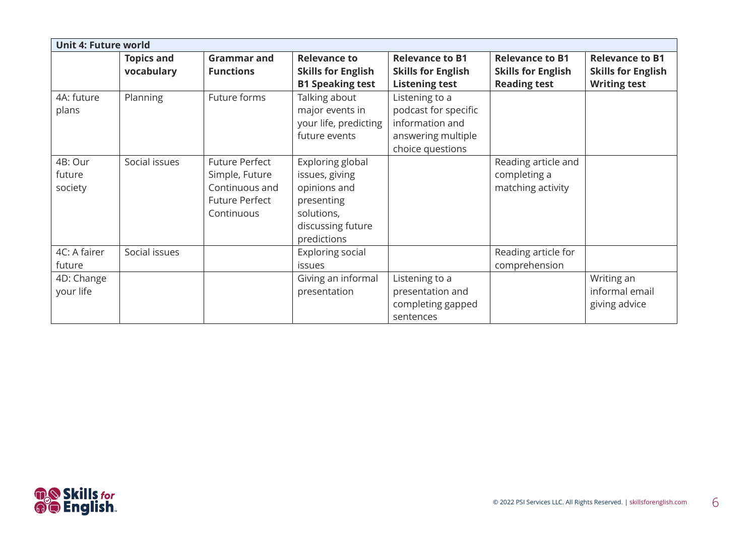| <b>Unit 4: Future world</b>  |                                 |                                                                                                  |                                                                                                                    |                                                                                                     |                                                                            |                                                                            |
|------------------------------|---------------------------------|--------------------------------------------------------------------------------------------------|--------------------------------------------------------------------------------------------------------------------|-----------------------------------------------------------------------------------------------------|----------------------------------------------------------------------------|----------------------------------------------------------------------------|
|                              | <b>Topics and</b><br>vocabulary | <b>Grammar and</b><br><b>Functions</b>                                                           | <b>Relevance to</b><br><b>Skills for English</b><br><b>B1 Speaking test</b>                                        | <b>Relevance to B1</b><br><b>Skills for English</b><br><b>Listening test</b>                        | <b>Relevance to B1</b><br><b>Skills for English</b><br><b>Reading test</b> | <b>Relevance to B1</b><br><b>Skills for English</b><br><b>Writing test</b> |
| 4A: future<br>plans          | Planning                        | Future forms                                                                                     | Talking about<br>major events in<br>your life, predicting<br>future events                                         | Listening to a<br>podcast for specific<br>information and<br>answering multiple<br>choice questions |                                                                            |                                                                            |
| 4B: Our<br>future<br>society | Social issues                   | <b>Future Perfect</b><br>Simple, Future<br>Continuous and<br><b>Future Perfect</b><br>Continuous | Exploring global<br>issues, giving<br>opinions and<br>presenting<br>solutions,<br>discussing future<br>predictions |                                                                                                     | Reading article and<br>completing a<br>matching activity                   |                                                                            |
| 4C: A fairer<br>future       | Social issues                   |                                                                                                  | Exploring social<br>issues                                                                                         |                                                                                                     | Reading article for<br>comprehension                                       |                                                                            |
| 4D: Change<br>your life      |                                 |                                                                                                  | Giving an informal<br>presentation                                                                                 | Listening to a<br>presentation and<br>completing gapped<br>sentences                                |                                                                            | Writing an<br>informal email<br>giving advice                              |

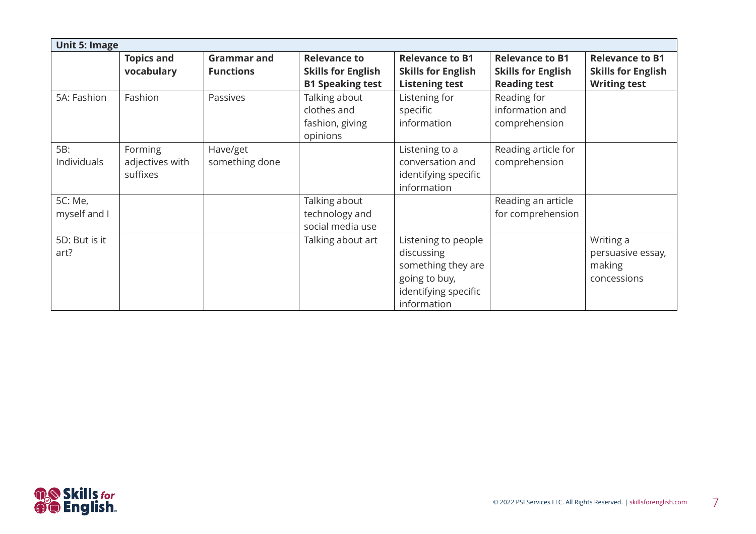|                         | <b>Unit 5: Image</b>                   |                                        |                                                                             |                                                                                                                 |                                                                            |                                                                            |  |  |
|-------------------------|----------------------------------------|----------------------------------------|-----------------------------------------------------------------------------|-----------------------------------------------------------------------------------------------------------------|----------------------------------------------------------------------------|----------------------------------------------------------------------------|--|--|
|                         | <b>Topics and</b><br>vocabulary        | <b>Grammar and</b><br><b>Functions</b> | <b>Relevance to</b><br><b>Skills for English</b><br><b>B1 Speaking test</b> | <b>Relevance to B1</b><br><b>Skills for English</b><br><b>Listening test</b>                                    | <b>Relevance to B1</b><br><b>Skills for English</b><br><b>Reading test</b> | <b>Relevance to B1</b><br><b>Skills for English</b><br><b>Writing test</b> |  |  |
| 5A: Fashion             | Fashion                                | Passives                               | Talking about<br>clothes and<br>fashion, giving<br>opinions                 | Listening for<br>specific<br>information                                                                        | Reading for<br>information and<br>comprehension                            |                                                                            |  |  |
| 5B:<br>Individuals      | Forming<br>adjectives with<br>suffixes | Have/get<br>something done             |                                                                             | Listening to a<br>conversation and<br>identifying specific<br>information                                       | Reading article for<br>comprehension                                       |                                                                            |  |  |
| 5C: Me,<br>myself and I |                                        |                                        | Talking about<br>technology and<br>social media use                         |                                                                                                                 | Reading an article<br>for comprehension                                    |                                                                            |  |  |
| 5D: But is it<br>art?   |                                        |                                        | Talking about art                                                           | Listening to people<br>discussing<br>something they are<br>going to buy,<br>identifying specific<br>information |                                                                            | Writing a<br>persuasive essay,<br>making<br>concessions                    |  |  |

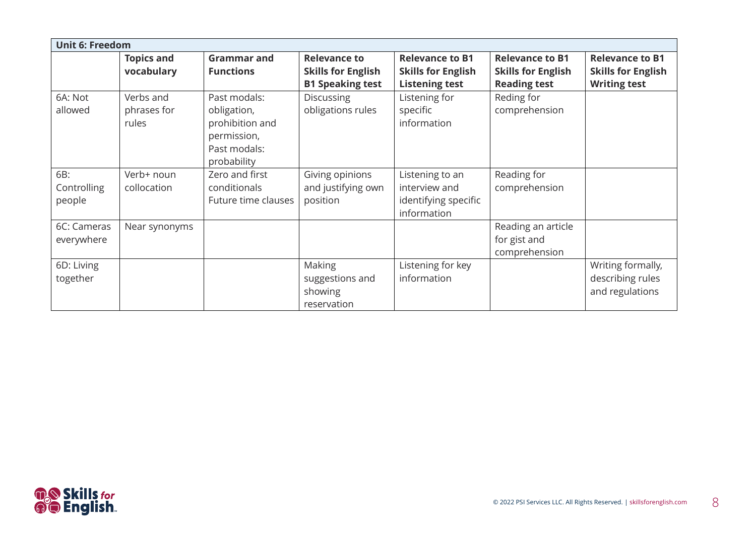| <b>Unit 6: Freedom</b>       |                                   |                                                                                              |                                                                             |                                                                              |                                                                            |                                                                            |  |  |
|------------------------------|-----------------------------------|----------------------------------------------------------------------------------------------|-----------------------------------------------------------------------------|------------------------------------------------------------------------------|----------------------------------------------------------------------------|----------------------------------------------------------------------------|--|--|
|                              | <b>Topics and</b><br>vocabulary   | <b>Grammar and</b><br><b>Functions</b>                                                       | <b>Relevance to</b><br><b>Skills for English</b><br><b>B1 Speaking test</b> | <b>Relevance to B1</b><br><b>Skills for English</b><br><b>Listening test</b> | <b>Relevance to B1</b><br><b>Skills for English</b><br><b>Reading test</b> | <b>Relevance to B1</b><br><b>Skills for English</b><br><b>Writing test</b> |  |  |
| 6A: Not<br>allowed           | Verbs and<br>phrases for<br>rules | Past modals:<br>obligation,<br>prohibition and<br>permission,<br>Past modals:<br>probability | <b>Discussing</b><br>obligations rules                                      | Listening for<br>specific<br>information                                     | Reding for<br>comprehension                                                |                                                                            |  |  |
| 6B:<br>Controlling<br>people | Verb+ noun<br>collocation         | Zero and first<br>conditionals<br>Future time clauses                                        | Giving opinions<br>and justifying own<br>position                           | Listening to an<br>interview and<br>identifying specific<br>information      | Reading for<br>comprehension                                               |                                                                            |  |  |
| 6C: Cameras<br>everywhere    | Near synonyms                     |                                                                                              |                                                                             |                                                                              | Reading an article<br>for gist and<br>comprehension                        |                                                                            |  |  |
| 6D: Living<br>together       |                                   |                                                                                              | Making<br>suggestions and<br>showing<br>reservation                         | Listening for key<br>information                                             |                                                                            | Writing formally,<br>describing rules<br>and regulations                   |  |  |

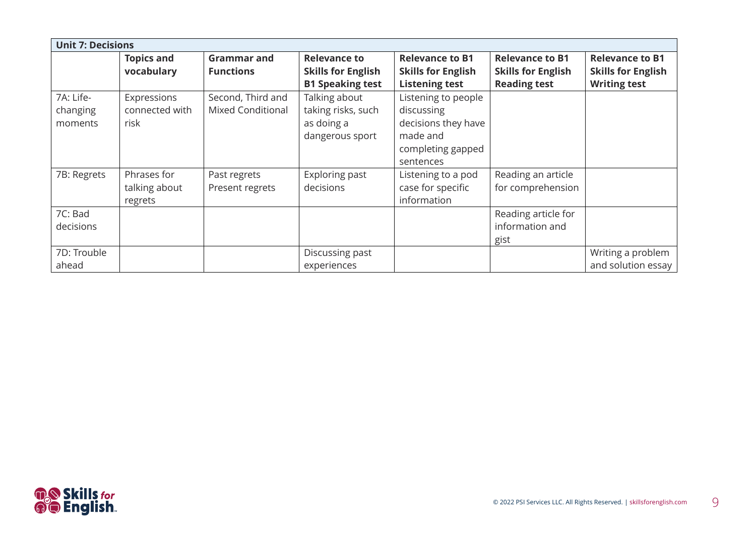| <b>Unit 7: Decisions</b>         |                                         |                                               |                                                                             |                                                                                                        |                                                                            |                                                                            |  |
|----------------------------------|-----------------------------------------|-----------------------------------------------|-----------------------------------------------------------------------------|--------------------------------------------------------------------------------------------------------|----------------------------------------------------------------------------|----------------------------------------------------------------------------|--|
|                                  | <b>Topics and</b><br>vocabulary         | <b>Grammar and</b><br><b>Functions</b>        | <b>Relevance to</b><br><b>Skills for English</b><br><b>B1 Speaking test</b> | <b>Relevance to B1</b><br><b>Skills for English</b><br><b>Listening test</b>                           | <b>Relevance to B1</b><br><b>Skills for English</b><br><b>Reading test</b> | <b>Relevance to B1</b><br><b>Skills for English</b><br><b>Writing test</b> |  |
| 7A: Life-<br>changing<br>moments | Expressions<br>connected with<br>risk   | Second, Third and<br><b>Mixed Conditional</b> | Talking about<br>taking risks, such<br>as doing a<br>dangerous sport        | Listening to people<br>discussing<br>decisions they have<br>made and<br>completing gapped<br>sentences |                                                                            |                                                                            |  |
| 7B: Regrets                      | Phrases for<br>talking about<br>regrets | Past regrets<br>Present regrets               | Exploring past<br>decisions                                                 | Listening to a pod<br>case for specific<br>information                                                 | Reading an article<br>for comprehension                                    |                                                                            |  |
| 7C: Bad<br>decisions             |                                         |                                               |                                                                             |                                                                                                        | Reading article for<br>information and<br>gist                             |                                                                            |  |
| 7D: Trouble<br>ahead             |                                         |                                               | Discussing past<br>experiences                                              |                                                                                                        |                                                                            | Writing a problem<br>and solution essay                                    |  |

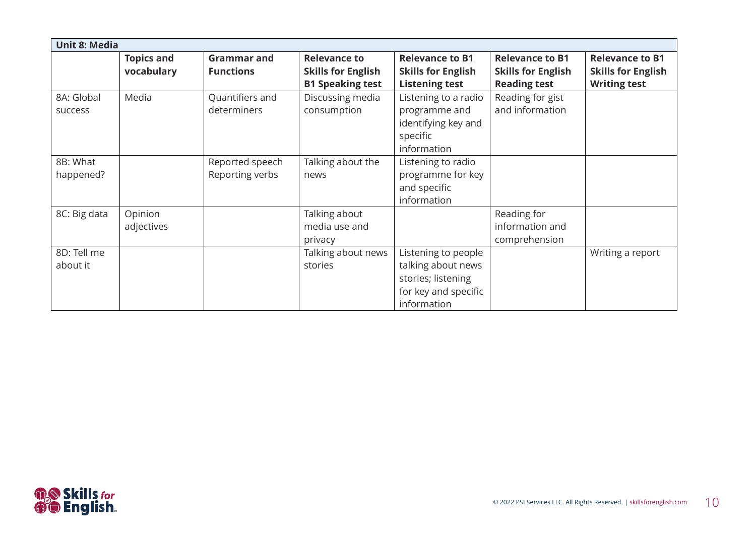| <b>Unit 8: Media</b>         |                                 |                                        |                                                                             |                                                                                                        |                                                                            |                                                                            |  |
|------------------------------|---------------------------------|----------------------------------------|-----------------------------------------------------------------------------|--------------------------------------------------------------------------------------------------------|----------------------------------------------------------------------------|----------------------------------------------------------------------------|--|
|                              | <b>Topics and</b><br>vocabulary | <b>Grammar and</b><br><b>Functions</b> | <b>Relevance to</b><br><b>Skills for English</b><br><b>B1 Speaking test</b> | <b>Relevance to B1</b><br><b>Skills for English</b><br><b>Listening test</b>                           | <b>Relevance to B1</b><br><b>Skills for English</b><br><b>Reading test</b> | <b>Relevance to B1</b><br><b>Skills for English</b><br><b>Writing test</b> |  |
| 8A: Global<br><b>SUCCESS</b> | Media                           | Quantifiers and<br>determiners         | Discussing media<br>consumption                                             | Listening to a radio<br>programme and<br>identifying key and<br>specific<br>information                | Reading for gist<br>and information                                        |                                                                            |  |
| 8B: What<br>happened?        |                                 | Reported speech<br>Reporting verbs     | Talking about the<br>news                                                   | Listening to radio<br>programme for key<br>and specific<br>information                                 |                                                                            |                                                                            |  |
| 8C: Big data                 | Opinion<br>adjectives           |                                        | Talking about<br>media use and<br>privacy                                   |                                                                                                        | Reading for<br>information and<br>comprehension                            |                                                                            |  |
| 8D: Tell me<br>about it      |                                 |                                        | Talking about news<br>stories                                               | Listening to people<br>talking about news<br>stories; listening<br>for key and specific<br>information |                                                                            | Writing a report                                                           |  |

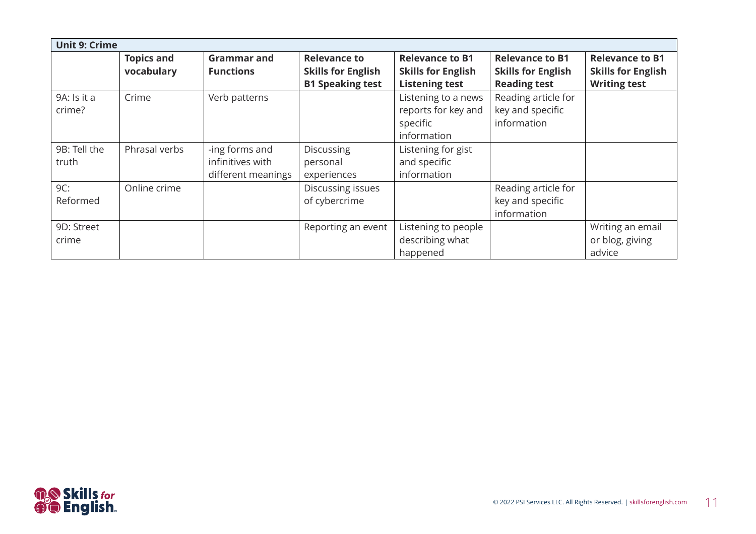| <b>Unit 9: Crime</b> |                   |                    |                           |                           |                           |                           |  |  |
|----------------------|-------------------|--------------------|---------------------------|---------------------------|---------------------------|---------------------------|--|--|
|                      | <b>Topics and</b> | <b>Grammar and</b> | <b>Relevance to</b>       | <b>Relevance to B1</b>    | <b>Relevance to B1</b>    | <b>Relevance to B1</b>    |  |  |
|                      | vocabulary        | <b>Functions</b>   | <b>Skills for English</b> | <b>Skills for English</b> | <b>Skills for English</b> | <b>Skills for English</b> |  |  |
|                      |                   |                    | <b>B1 Speaking test</b>   | <b>Listening test</b>     | <b>Reading test</b>       | <b>Writing test</b>       |  |  |
| 9A: Is it a          | Crime             | Verb patterns      |                           | Listening to a news       | Reading article for       |                           |  |  |
| crime?               |                   |                    |                           | reports for key and       | key and specific          |                           |  |  |
|                      |                   |                    |                           | specific                  | information               |                           |  |  |
|                      |                   |                    |                           | information               |                           |                           |  |  |
| 9B: Tell the         | Phrasal verbs     | -ing forms and     | Discussing                | Listening for gist        |                           |                           |  |  |
| truth                |                   | infinitives with   | personal                  | and specific              |                           |                           |  |  |
|                      |                   | different meanings | experiences               | information               |                           |                           |  |  |
| 9C:                  | Online crime      |                    | Discussing issues         |                           | Reading article for       |                           |  |  |
| Reformed             |                   |                    | of cybercrime             |                           | key and specific          |                           |  |  |
|                      |                   |                    |                           |                           | information               |                           |  |  |
| 9D: Street           |                   |                    | Reporting an event        | Listening to people       |                           | Writing an email          |  |  |
| crime                |                   |                    |                           | describing what           |                           | or blog, giving           |  |  |
|                      |                   |                    |                           | happened                  |                           | advice                    |  |  |